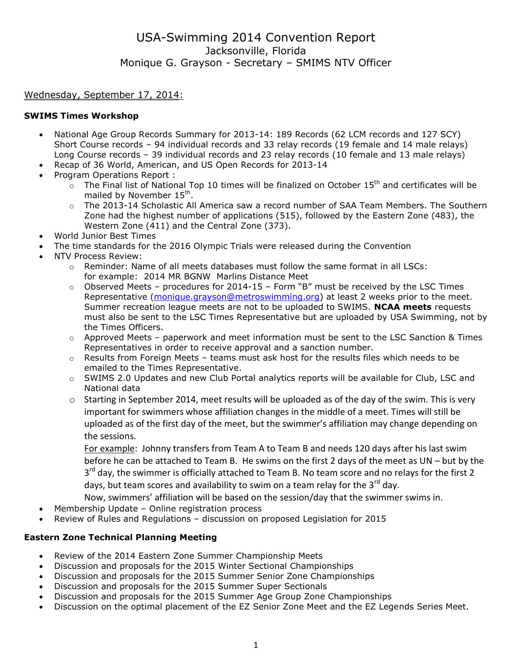### Wednesday, September 17, 2014:

### **SWIMS Times Workshop**

- National Age Group Records Summary for 2013-14: 189 Records (62 LCM records and 127 SCY) Short Course records – 94 individual records and 33 relay records (19 female and 14 male relays) Long Course records – 39 individual records and 23 relay records (10 female and 13 male relays)
- Recap of 36 World, American, and US Open Records for 2013-14
- Program Operations Report :
	- $\sim$  The Final list of National Top 10 times will be finalized on October 15<sup>th</sup> and certificates will be mailed by November 15<sup>th</sup>.
	- o The 2013-14 Scholastic All America saw a record number of SAA Team Members. The Southern Zone had the highest number of applications (515), followed by the Eastern Zone (483), the Western Zone (411) and the Central Zone (373).
- World Junior Best Times
	- The time standards for the 2016 Olympic Trials were released during the Convention
- NTV Process Review:
	- $\circ$  Reminder: Name of all meets databases must follow the same format in all LSCs: for example: 2014 MR BGNW Marlins Distance Meet
	- $\circ$  Observed Meets procedures for 2014-15 Form "B" must be received by the LSC Times Representative [\(monique.grayson@metroswimming.org\)](mailto:monique.grayson@metroswimming.org) at least 2 weeks prior to the meet. Summer recreation league meets are not to be uploaded to SWIMS. **NCAA meets** requests must also be sent to the LSC Times Representative but are uploaded by USA Swimming, not by the Times Officers.
	- $\circ$  Approved Meets paperwork and meet information must be sent to the LSC Sanction & Times Representatives in order to receive approval and a sanction number.
	- $\circ$  Results from Foreign Meets teams must ask host for the results files which needs to be emailed to the Times Representative.
	- o SWIMS 2.0 Updates and new Club Portal analytics reports will be available for Club, LSC and National data
	- o Starting in September 2014, meet results will be uploaded as of the day of the swim. This is very important for swimmers whose affiliation changes in the middle of a meet. Times will still be uploaded as of the first day of the meet, but the swimmer's affiliation may change depending on the sessions.

For example: Johnny transfers from Team A to Team B and needs 120 days after his last swim before he can be attached to Team B. He swims on the first 2 days of the meet as UN – but by the 3<sup>rd</sup> day, the swimmer is officially attached to Team B. No team score and no relays for the first 2 days, but team scores and availability to swim on a team relay for the  $3^{rd}$  day.

- Now, swimmers' affiliation will be based on the session/day that the swimmer swims in.
- Membership Update Online registration process
- Review of Rules and Regulations discussion on proposed Legislation for 2015

## **Eastern Zone Technical Planning Meeting**

- Review of the 2014 Eastern Zone Summer Championship Meets
- Discussion and proposals for the 2015 Winter Sectional Championships
- Discussion and proposals for the 2015 Summer Senior Zone Championships
- Discussion and proposals for the 2015 Summer Super Sectionals
- Discussion and proposals for the 2015 Summer Age Group Zone Championships
- Discussion on the optimal placement of the EZ Senior Zone Meet and the EZ Legends Series Meet.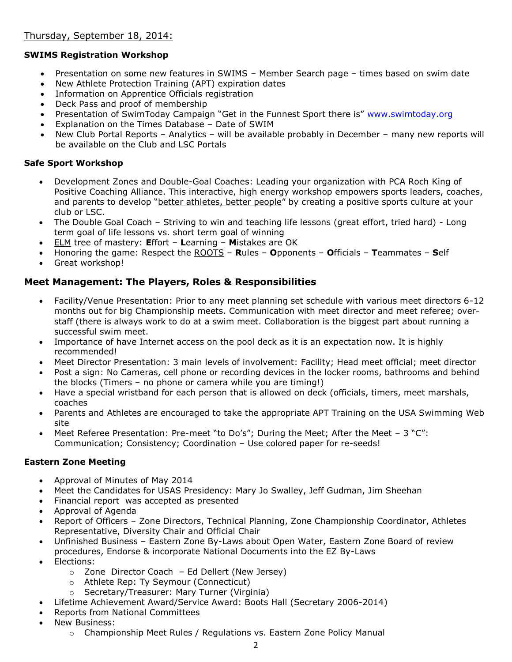# **SWIMS Registration Workshop**

- Presentation on some new features in SWIMS Member Search page times based on swim date
- New Athlete Protection Training (APT) expiration dates
- Information on Apprentice Officials registration
- Deck Pass and proof of membership
- Presentation of SwimToday Campaign "Get in the Funnest Sport there is" [www.swimtoday.org](http://www.swimtoday.org/)
- Explanation on the Times Database Date of SWIM
- New Club Portal Reports Analytics will be available probably in December many new reports will be available on the Club and LSC Portals

### **Safe Sport Workshop**

- Development Zones and Double-Goal Coaches: Leading your organization with PCA Roch King of Positive Coaching Alliance. This interactive, high energy workshop empowers sports leaders, coaches, and parents to develop "better athletes, better people" by creating a positive sports culture at your club or LSC.
- The Double Goal Coach Striving to win and teaching life lessons (great effort, tried hard) Long term goal of life lessons vs. short term goal of winning
- ELM tree of mastery: **E**ffort **L**earning **M**istakes are OK
- Honoring the game: Respect the ROOTS **R**ules **O**pponents **O**fficials **T**eammates **S**elf
- Great workshop!

## **Meet Management: The Players, Roles & Responsibilities**

- Facility/Venue Presentation: Prior to any meet planning set schedule with various meet directors 6-12 months out for big Championship meets. Communication with meet director and meet referee; overstaff (there is always work to do at a swim meet. Collaboration is the biggest part about running a successful swim meet.
- Importance of have Internet access on the pool deck as it is an expectation now. It is highly recommended!
- Meet Director Presentation: 3 main levels of involvement: Facility; Head meet official; meet director
- Post a sign: No Cameras, cell phone or recording devices in the locker rooms, bathrooms and behind the blocks (Timers – no phone or camera while you are timing!)
- Have a special wristband for each person that is allowed on deck (officials, timers, meet marshals, coaches
- Parents and Athletes are encouraged to take the appropriate APT Training on the USA Swimming Web site
- Meet Referee Presentation: Pre-meet "to Do's"; During the Meet; After the Meet 3 "C": Communication; Consistency; Coordination – Use colored paper for re-seeds!

## **Eastern Zone Meeting**

- Approval of Minutes of May 2014
- Meet the Candidates for USAS Presidency: Mary Jo Swalley, Jeff Gudman, Jim Sheehan
- Financial report was accepted as presented
- Approval of Agenda
- Report of Officers Zone Directors, Technical Planning, Zone Championship Coordinator, Athletes Representative, Diversity Chair and Official Chair
- Unfinished Business Eastern Zone By-Laws about Open Water, Eastern Zone Board of review procedures, Endorse & incorporate National Documents into the EZ By-Laws
- Elections:
	- $\circ$  Zone Director Coach Ed Dellert (New Jersey)
	- o Athlete Rep: Ty Seymour (Connecticut)
	- o Secretary/Treasurer: Mary Turner (Virginia)
- Lifetime Achievement Award/Service Award: Boots Hall (Secretary 2006-2014)
- Reports from National Committees
- New Business:
	- $\circ$  Championship Meet Rules / Regulations vs. Eastern Zone Policy Manual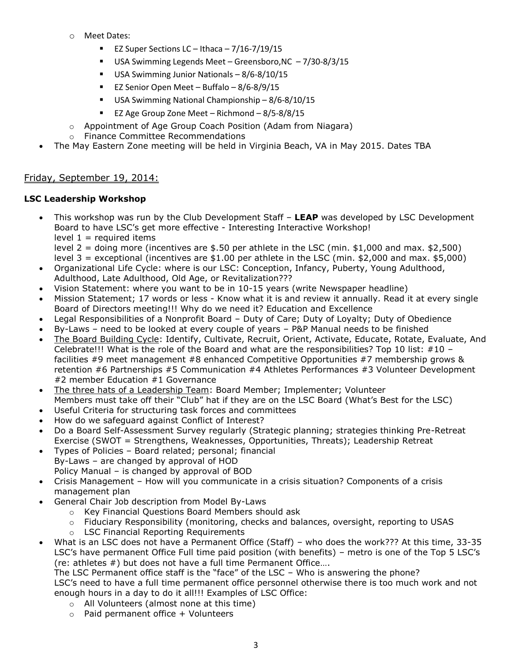- o Meet Dates:
	- EZ Super Sections LC Ithaca  $7/16-7/19/15$
	- USA Swimming Legends Meet Greensboro, NC 7/30-8/3/15
	- USA Swimming Junior Nationals 8/6-8/10/15
	- EZ Senior Open Meet Buffalo 8/6-8/9/15
	- USA Swimming National Championship 8/6-8/10/15
	- EZ Age Group Zone Meet Richmond 8/5-8/8/15
- o Appointment of Age Group Coach Position (Adam from Niagara)
- o Finance Committee Recommendations
- The May Eastern Zone meeting will be held in Virginia Beach, VA in May 2015. Dates TBA

### Friday, September 19, 2014:

#### **LSC Leadership Workshop**

 This workshop was run by the Club Development Staff – **LEAP** was developed by LSC Development Board to have LSC's get more effective - Interesting Interactive Workshop! level  $1$  = required items

level 2 = doing more (incentives are \$.50 per athlete in the LSC (min. \$1,000 and max. \$2,500)

level 3 = exceptional (incentives are \$1.00 per athlete in the LSC (min. \$2,000 and max. \$5,000)

- Organizational Life Cycle: where is our LSC: Conception, Infancy, Puberty, Young Adulthood, Adulthood, Late Adulthood, Old Age, or Revitalization???
- Vision Statement: where you want to be in 10-15 years (write Newspaper headline)
- Mission Statement; 17 words or less Know what it is and review it annually. Read it at every single Board of Directors meeting!!! Why do we need it? Education and Excellence
- Legal Responsibilities of a Nonprofit Board Duty of Care; Duty of Loyalty; Duty of Obedience
- By-Laws need to be looked at every couple of years P&P Manual needs to be finished
- The Board Building Cycle: Identify, Cultivate, Recruit, Orient, Activate, Educate, Rotate, Evaluate, And Celebrate!!! What is the role of the Board and what are the responsibilities? Top 10 list: #10 facilities #9 meet management #8 enhanced Competitive Opportunities #7 membership grows & retention #6 Partnerships #5 Communication #4 Athletes Performances #3 Volunteer Development #2 member Education #1 Governance
- The three hats of a Leadership Team: Board Member; Implementer; Volunteer Members must take off their "Club" hat if they are on the LSC Board (What's Best for the LSC)
- Useful Criteria for structuring task forces and committees
- How do we safeguard against Conflict of Interest?
- Do a Board Self-Assessment Survey regularly (Strategic planning; strategies thinking Pre-Retreat Exercise (SWOT = Strengthens, Weaknesses, Opportunities, Threats); Leadership Retreat
- Types of Policies Board related; personal; financial By-Laws – are changed by approval of HOD
	- Policy Manual is changed by approval of BOD
- Crisis Management How will you communicate in a crisis situation? Components of a crisis management plan
- General Chair Job description from Model By-Laws
	- o Key Financial Questions Board Members should ask
	- o Fiduciary Responsibility (monitoring, checks and balances, oversight, reporting to USAS
	- o LSC Financial Reporting Requirements
- What is an LSC does not have a Permanent Office (Staff) who does the work??? At this time, 33-35 LSC's have permanent Office Full time paid position (with benefits) – metro is one of the Top 5 LSC's (re: athletes #) but does not have a full time Permanent Office….

The LSC Permanent office staff is the "face" of the LSC – Who is answering the phone?

LSC's need to have a full time permanent office personnel otherwise there is too much work and not enough hours in a day to do it all!!! Examples of LSC Office:

- o All Volunteers (almost none at this time)
- $\circ$  Paid permanent office + Volunteers